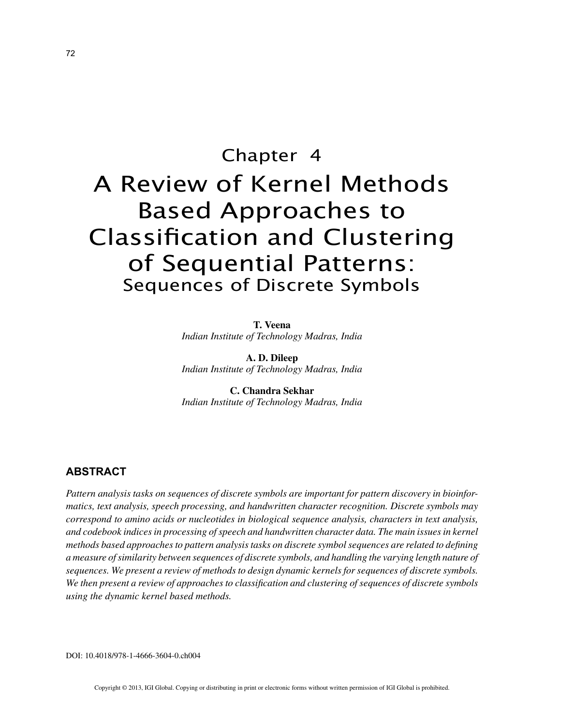# Chapter 4 A Review of Kernel Methods Based Approaches to Classification and Clustering of Sequential Patterns: Sequences of Discrete Symbols

**T. Veena** *Indian Institute of Technology Madras, India*

**A. D. Dileep** *Indian Institute of Technology Madras, India*

**C. Chandra Sekhar** *Indian Institute of Technology Madras, India*

## **ABSTRACT**

*Pattern analysis tasks on sequences of discrete symbols are important for pattern discovery in bioinformatics, text analysis, speech processing, and handwritten character recognition. Discrete symbols may correspond to amino acids or nucleotides in biological sequence analysis, characters in text analysis, and codebook indices in processing of speech and handwritten character data. The main issues in kernel methods based approaches to pattern analysis tasks on discrete symbol sequences are related to defining a measure of similarity between sequences of discrete symbols, and handling the varying length nature of sequences. We present a review of methods to design dynamic kernels for sequences of discrete symbols. We then present a review of approaches to classification and clustering of sequences of discrete symbols using the dynamic kernel based methods.*

DOI: 10.4018/978-1-4666-3604-0.ch004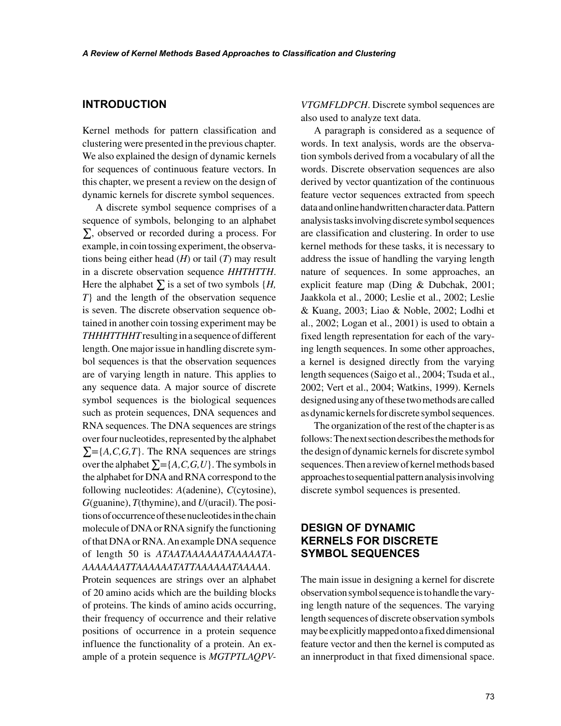## **INTRODUCTION**

Kernel methods for pattern classification and clustering were presented in the previous chapter. We also explained the design of dynamic kernels for sequences of continuous feature vectors. In this chapter, we present a review on the design of dynamic kernels for discrete symbol sequences.

A discrete symbol sequence comprises of a sequence of symbols, belonging to an alphabet ∑, observed or recorded during a process. For example, in coin tossing experiment, the observations being either head (*H*) or tail (*T*) may result in a discrete observation sequence *HHTHTTH*. Here the alphabet  $\sum$  is a set of two symbols {*H*, *T*} and the length of the observation sequence is seven. The discrete observation sequence obtained in another coin tossing experiment may be *THHHTTHHT* resulting in a sequence of different length. One major issue in handling discrete symbol sequences is that the observation sequences are of varying length in nature. This applies to any sequence data. A major source of discrete symbol sequences is the biological sequences such as protein sequences, DNA sequences and RNA sequences. The DNA sequences are strings over four nucleotides, represented by the alphabet  $\Sigma = \{A, C, G, T\}$ . The RNA sequences are strings over the alphabet  $\Sigma = \{A, C, G, U\}$ . The symbols in the alphabet for DNA and RNA correspond to the following nucleotides: *A*(adenine), *C*(cytosine), *G*(guanine), *T*(thymine), and *U*(uracil). The positions of occurrence of these nucleotides in the chain molecule of DNA or RNA signify the functioning of that DNA or RNA. An example DNA sequence of length 50 is *ATAATAAAAAATAAAAATA-AAAAAAATTAAAAAATATTAAAAAATAAAAA*. Protein sequences are strings over an alphabet of 20 amino acids which are the building blocks of proteins. The kinds of amino acids occurring, their frequency of occurrence and their relative positions of occurrence in a protein sequence influence the functionality of a protein. An example of a protein sequence is *MGTPTLAQPV-* *VTGMFLDPCH*. Discrete symbol sequences are also used to analyze text data.

A paragraph is considered as a sequence of words. In text analysis, words are the observation symbols derived from a vocabulary of all the words. Discrete observation sequences are also derived by vector quantization of the continuous feature vector sequences extracted from speech data and online handwritten character data. Pattern analysis tasks involving discrete symbol sequences are classification and clustering. In order to use kernel methods for these tasks, it is necessary to address the issue of handling the varying length nature of sequences. In some approaches, an explicit feature map (Ding & Dubchak, 2001; Jaakkola et al., 2000; Leslie et al., 2002; Leslie & Kuang, 2003; Liao & Noble, 2002; Lodhi et al., 2002; Logan et al., 2001) is used to obtain a fixed length representation for each of the varying length sequences. In some other approaches, a kernel is designed directly from the varying length sequences (Saigo et al., 2004; Tsuda et al., 2002; Vert et al., 2004; Watkins, 1999). Kernels designed using any of these two methods are called as dynamic kernels for discrete symbol sequences.

The organization of the rest of the chapter is as follows: The next section describes the methods for the design of dynamic kernels for discrete symbol sequences. Then a review of kernel methods based approaches to sequential pattern analysis involving discrete symbol sequences is presented.

# **DESIGN OF DYNAMIC KERNELS FOR DISCRETE SYMBOL SEQUENCES**

The main issue in designing a kernel for discrete observation symbol sequence is to handle the varying length nature of the sequences. The varying length sequences of discrete observation symbols may be explicitly mapped onto a fixed dimensional feature vector and then the kernel is computed as an innerproduct in that fixed dimensional space.